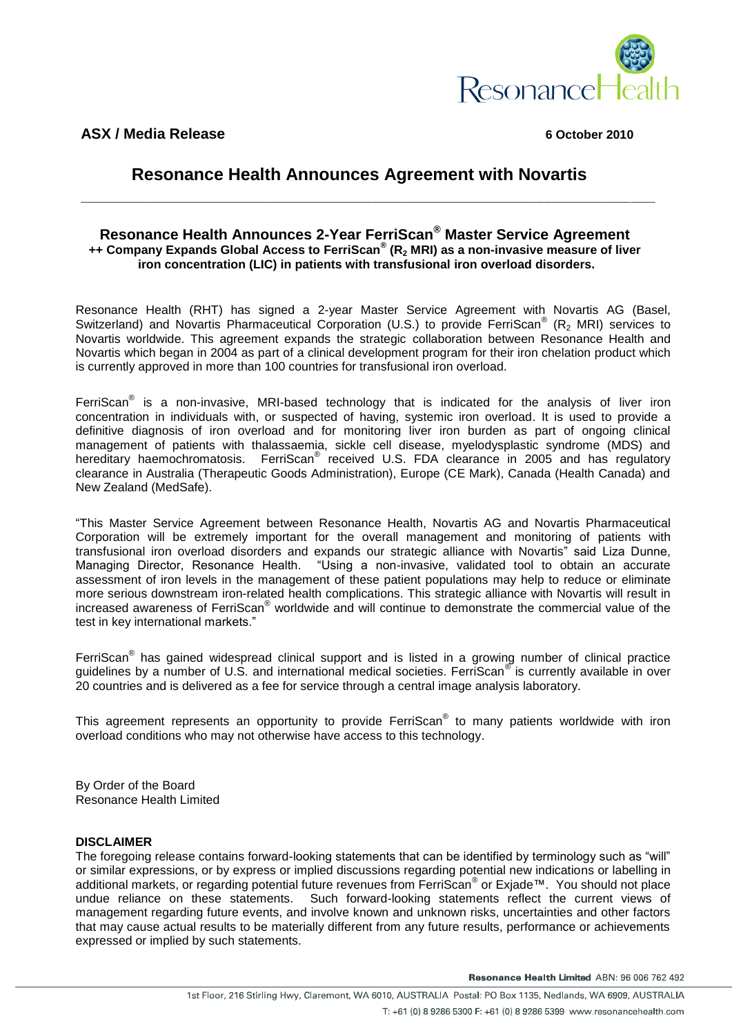

**ASX / Media Release 6 October 2010**

## **Resonance Health Announces Agreement with Novartis**

## **Resonance Health Announces 2-Year FerriScan® Master Service Agreement ++ Company Expands Global Access to FerriScan® (R<sup>2</sup> MRI) as a non-invasive measure of liver iron concentration (LIC) in patients with transfusional iron overload disorders.**

**\_\_\_\_\_\_\_\_\_\_\_\_\_\_\_\_\_\_\_\_\_\_\_\_\_\_\_\_\_\_\_\_\_\_\_\_\_\_\_\_\_\_\_\_\_\_\_\_\_\_\_\_\_\_\_\_\_\_\_\_\_\_\_\_\_\_\_\_\_\_**

Resonance Health (RHT) has signed a 2-year Master Service Agreement with Novartis AG (Basel, Switzerland) and Novartis Pharmaceutical Corporation (U.S.) to provide FerriScan® (R<sub>2</sub> MRI) services to Novartis worldwide. This agreement expands the strategic collaboration between Resonance Health and Novartis which began in 2004 as part of a clinical development program for their iron chelation product which is currently approved in more than 100 countries for transfusional iron overload.

FerriScan<sup>®</sup> is a non-invasive, MRI-based technology that is indicated for the analysis of liver iron concentration in individuals with, or suspected of having, systemic iron overload. It is used to provide a definitive diagnosis of iron overload and for monitoring liver iron burden as part of ongoing clinical management of patients with thalassaemia, sickle cell disease, myelodysplastic syndrome (MDS) and hereditary haemochromatosis. FerriScan<sup>®</sup> received U.S. FDA clearance in 2005 and has regulatory clearance in Australia (Therapeutic Goods Administration), Europe (CE Mark), Canada (Health Canada) and New Zealand (MedSafe).

"This Master Service Agreement between Resonance Health, Novartis AG and Novartis Pharmaceutical Corporation will be extremely important for the overall management and monitoring of patients with transfusional iron overload disorders and expands our strategic alliance with Novartis" said Liza Dunne, Managing Director, Resonance Health. "Using a non-invasive, validated tool to obtain an accurate assessment of iron levels in the management of these patient populations may help to reduce or eliminate more serious downstream iron-related health complications. This strategic alliance with Novartis will result in increased awareness of FerriScan® worldwide and will continue to demonstrate the commercial value of the test in key international markets."

FerriScan<sup>®</sup> has gained widespread clinical support and is listed in a growing number of clinical practice guidelines by a number of U.S. and international medical societies. FerriScan® is currently available in over 20 countries and is delivered as a fee for service through a central image analysis laboratory.

This agreement represents an opportunity to provide FerriScan® to many patients worldwide with iron overload conditions who may not otherwise have access to this technology.

By Order of the Board Resonance Health Limited

## **DISCLAIMER**

The foregoing release contains forward-looking statements that can be identified by terminology such as "will" or similar expressions, or by express or implied discussions regarding potential new indications or labelling in additional markets, or regarding potential future revenues from FerriScan® or Exjade™. You should not place undue reliance on these statements. Such forward-looking statements reflect the current views of management regarding future events, and involve known and unknown risks, uncertainties and other factors that may cause actual results to be materially different from any future results, performance or achievements expressed or implied by such statements.